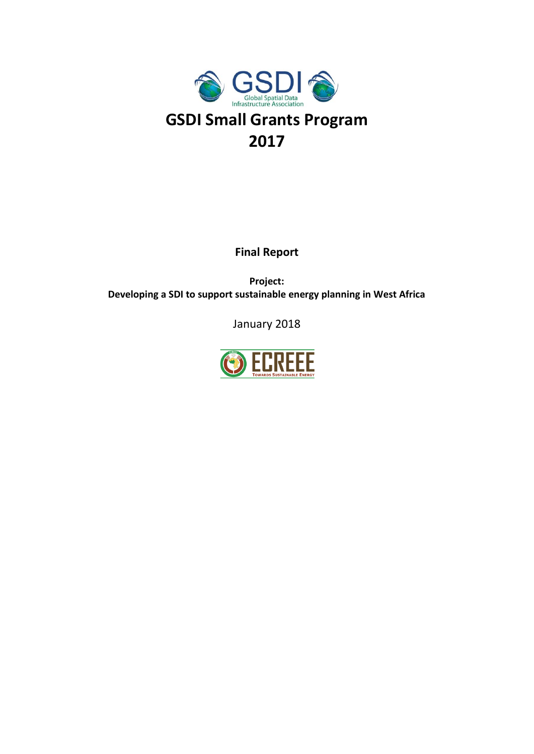

**Final Report**

**Project: Developing a SDI to support sustainable energy planning in West Africa**

January 2018

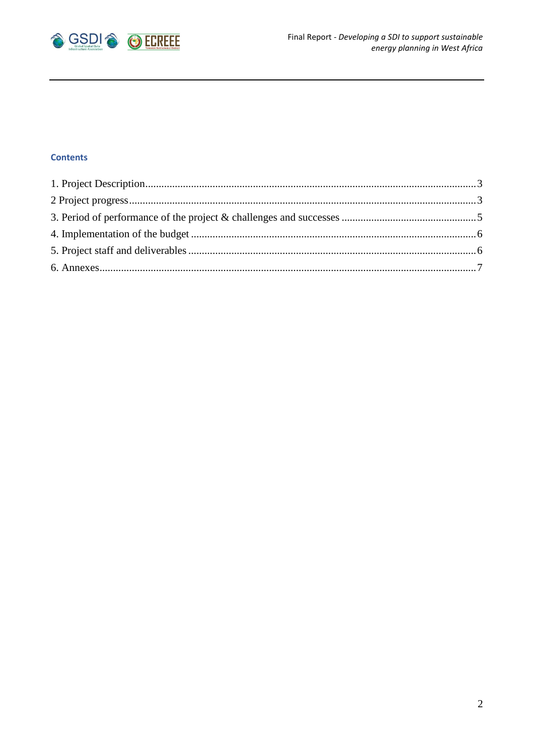

# **Contents**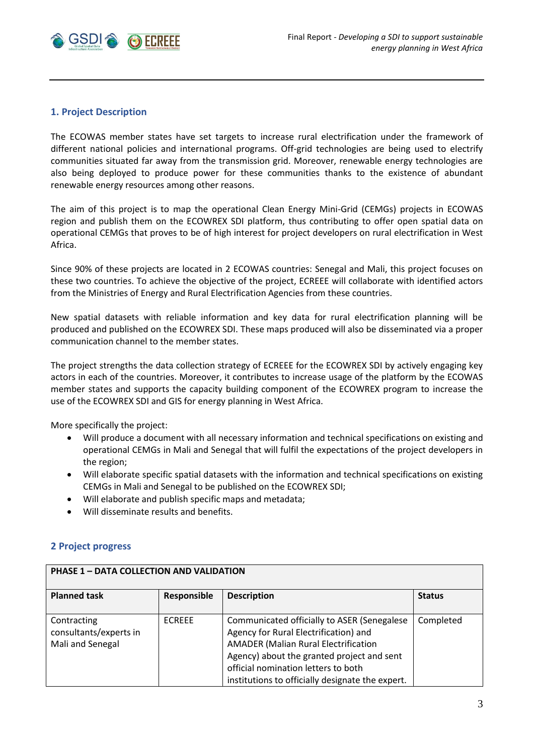

# <span id="page-2-0"></span>**1. Project Description**

The ECOWAS member states have set targets to increase rural electrification under the framework of different national policies and international programs. Off-grid technologies are being used to electrify communities situated far away from the transmission grid. Moreover, renewable energy technologies are also being deployed to produce power for these communities thanks to the existence of abundant renewable energy resources among other reasons.

The aim of this project is to map the operational Clean Energy Mini-Grid (CEMGs) projects in ECOWAS region and publish them on the ECOWREX SDI platform, thus contributing to offer open spatial data on operational CEMGs that proves to be of high interest for project developers on rural electrification in West Africa.

Since 90% of these projects are located in 2 ECOWAS countries: Senegal and Mali, this project focuses on these two countries. To achieve the objective of the project, ECREEE will collaborate with identified actors from the Ministries of Energy and Rural Electrification Agencies from these countries.

New spatial datasets with reliable information and key data for rural electrification planning will be produced and published on the ECOWREX SDI. These maps produced will also be disseminated via a proper communication channel to the member states.

The project strengths the data collection strategy of ECREEE for the ECOWREX SDI by actively engaging key actors in each of the countries. Moreover, it contributes to increase usage of the platform by the ECOWAS member states and supports the capacity building component of the ECOWREX program to increase the use of the ECOWREX SDI and GIS for energy planning in West Africa.

More specifically the project:

- Will produce a document with all necessary information and technical specifications on existing and operational CEMGs in Mali and Senegal that will fulfil the expectations of the project developers in the region;
- Will elaborate specific spatial datasets with the information and technical specifications on existing CEMGs in Mali and Senegal to be published on the ECOWREX SDI;
- Will elaborate and publish specific maps and metadata;
- <span id="page-2-1"></span>Will disseminate results and benefits.

### **2 Project progress**

| <b>PHASE 1 - DATA COLLECTION AND VALIDATION</b>           |               |                                                                                                                                                                                                                                                                              |               |  |
|-----------------------------------------------------------|---------------|------------------------------------------------------------------------------------------------------------------------------------------------------------------------------------------------------------------------------------------------------------------------------|---------------|--|
| <b>Planned task</b>                                       | Responsible   | <b>Description</b>                                                                                                                                                                                                                                                           | <b>Status</b> |  |
| Contracting<br>consultants/experts in<br>Mali and Senegal | <b>ECREEE</b> | Communicated officially to ASER (Senegalese<br>Agency for Rural Electrification) and<br><b>AMADER (Malian Rural Electrification</b><br>Agency) about the granted project and sent<br>official nomination letters to both<br>institutions to officially designate the expert. | Completed     |  |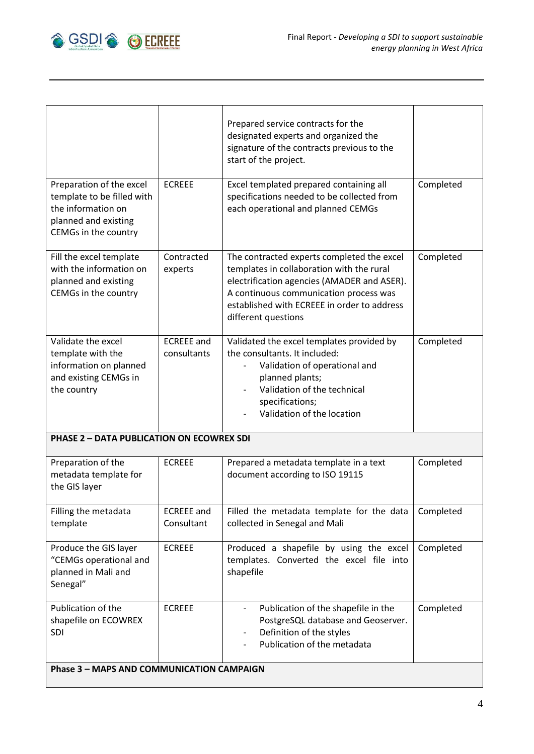

| Preparation of the excel<br>template to be filled with                                                    | <b>ECREEE</b>                    | Prepared service contracts for the<br>designated experts and organized the<br>signature of the contracts previous to the<br>start of the project.<br>Excel templated prepared containing all<br>specifications needed to be collected from             | Completed |  |
|-----------------------------------------------------------------------------------------------------------|----------------------------------|--------------------------------------------------------------------------------------------------------------------------------------------------------------------------------------------------------------------------------------------------------|-----------|--|
| the information on<br>planned and existing<br>CEMGs in the country                                        |                                  | each operational and planned CEMGs                                                                                                                                                                                                                     |           |  |
| Fill the excel template<br>with the information on<br>planned and existing<br>CEMGs in the country        | Contracted<br>experts            | The contracted experts completed the excel<br>templates in collaboration with the rural<br>electrification agencies (AMADER and ASER).<br>A continuous communication process was<br>established with ECREEE in order to address<br>different questions | Completed |  |
| Validate the excel<br>template with the<br>information on planned<br>and existing CEMGs in<br>the country | <b>ECREEE</b> and<br>consultants | Validated the excel templates provided by<br>the consultants. It included:<br>Validation of operational and<br>planned plants;<br>Validation of the technical<br>specifications;<br>Validation of the location                                         | Completed |  |
| <b>PHASE 2 - DATA PUBLICATION ON ECOWREX SDI</b>                                                          |                                  |                                                                                                                                                                                                                                                        |           |  |
| Preparation of the<br>metadata template for<br>the GIS layer                                              | <b>ECREEE</b>                    | Prepared a metadata template in a text<br>document according to ISO 19115                                                                                                                                                                              | Completed |  |
| Filling the metadata<br>template                                                                          | <b>ECREEE</b> and<br>Consultant  | Filled the metadata template for the data<br>collected in Senegal and Mali                                                                                                                                                                             | Completed |  |
| Produce the GIS layer<br>"CEMGs operational and<br>planned in Mali and<br>Senegal"                        | <b>ECREEE</b>                    | Produced a shapefile by using the excel<br>templates. Converted the excel file into<br>shapefile                                                                                                                                                       | Completed |  |
| Publication of the<br>shapefile on ECOWREX<br><b>SDI</b>                                                  | <b>ECREEE</b>                    | Publication of the shapefile in the<br>$\overline{\phantom{a}}$<br>PostgreSQL database and Geoserver.<br>Definition of the styles<br>Publication of the metadata                                                                                       | Completed |  |
| <b>Phase 3 - MAPS AND COMMUNICATION CAMPAIGN</b>                                                          |                                  |                                                                                                                                                                                                                                                        |           |  |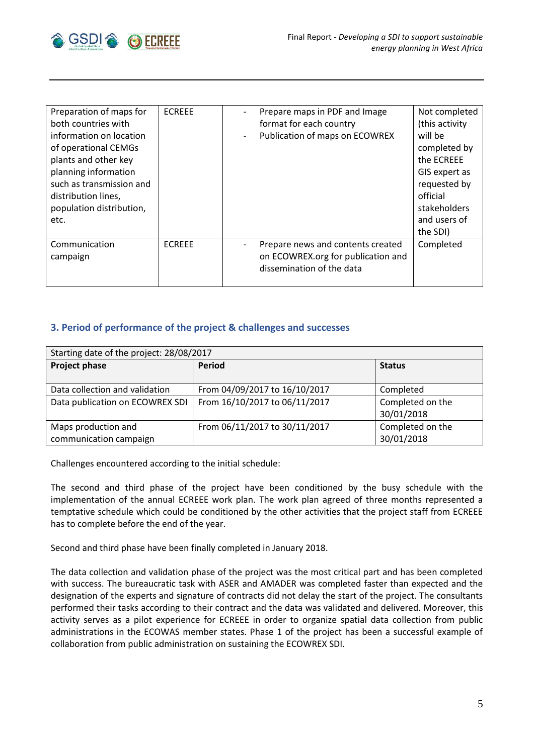

| Preparation of maps for<br>both countries with<br>information on location<br>of operational CEMGs<br>plants and other key<br>planning information<br>such as transmission and<br>distribution lines,<br>population distribution,<br>etc. | <b>ECREEE</b> | $\overline{\phantom{a}}$ | Prepare maps in PDF and Image<br>format for each country<br>Publication of maps on ECOWREX           | Not completed<br>(this activity<br>will be<br>completed by<br>the ECREEE<br>GIS expert as<br>requested by<br>official<br>stakeholders<br>and users of<br>the SDI) |
|------------------------------------------------------------------------------------------------------------------------------------------------------------------------------------------------------------------------------------------|---------------|--------------------------|------------------------------------------------------------------------------------------------------|-------------------------------------------------------------------------------------------------------------------------------------------------------------------|
| Communication<br>campaign                                                                                                                                                                                                                | <b>FCREEE</b> |                          | Prepare news and contents created<br>on ECOWREX.org for publication and<br>dissemination of the data | Completed                                                                                                                                                         |

## <span id="page-4-0"></span>**3. Period of performance of the project & challenges and successes**

| Starting date of the project: 28/08/2017 |                               |                  |  |  |
|------------------------------------------|-------------------------------|------------------|--|--|
| <b>Project phase</b>                     | <b>Period</b>                 | <b>Status</b>    |  |  |
|                                          |                               |                  |  |  |
| Data collection and validation           | From 04/09/2017 to 16/10/2017 | Completed        |  |  |
| Data publication on ECOWREX SDI          | From 16/10/2017 to 06/11/2017 | Completed on the |  |  |
|                                          |                               | 30/01/2018       |  |  |
| Maps production and                      | From 06/11/2017 to 30/11/2017 | Completed on the |  |  |
| communication campaign                   |                               | 30/01/2018       |  |  |

Challenges encountered according to the initial schedule:

The second and third phase of the project have been conditioned by the busy schedule with the implementation of the annual ECREEE work plan. The work plan agreed of three months represented a temptative schedule which could be conditioned by the other activities that the project staff from ECREEE has to complete before the end of the year.

Second and third phase have been finally completed in January 2018.

The data collection and validation phase of the project was the most critical part and has been completed with success. The bureaucratic task with ASER and AMADER was completed faster than expected and the designation of the experts and signature of contracts did not delay the start of the project. The consultants performed their tasks according to their contract and the data was validated and delivered. Moreover, this activity serves as a pilot experience for ECREEE in order to organize spatial data collection from public administrations in the ECOWAS member states. Phase 1 of the project has been a successful example of collaboration from public administration on sustaining the ECOWREX SDI.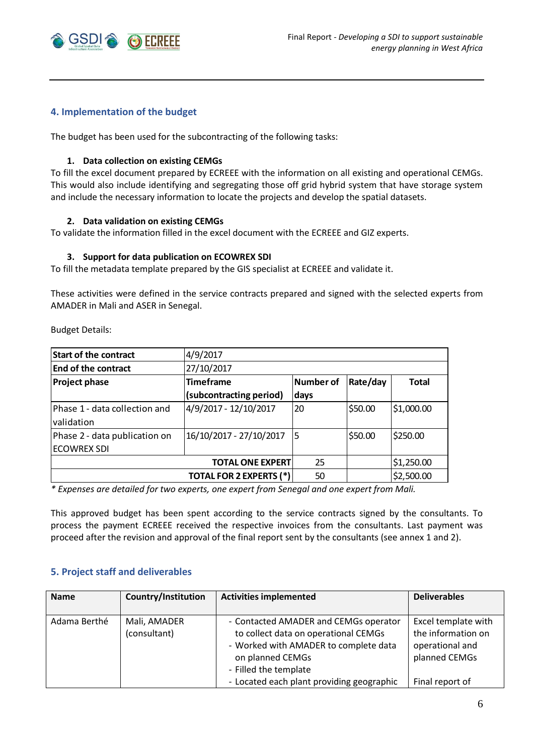

### <span id="page-5-0"></span>**4. Implementation of the budget**

The budget has been used for the subcontracting of the following tasks:

### **1. Data collection on existing CEMGs**

To fill the excel document prepared by ECREEE with the information on all existing and operational CEMGs. This would also include identifying and segregating those off grid hybrid system that have storage system and include the necessary information to locate the projects and develop the spatial datasets.

### **2. Data validation on existing CEMGs**

To validate the information filled in the excel document with the ECREEE and GIZ experts.

#### **3. Support for data publication on ECOWREX SDI**

To fill the metadata template prepared by the GIS specialist at ECREEE and validate it.

These activities were defined in the service contracts prepared and signed with the selected experts from AMADER in Mali and ASER in Senegal.

Budget Details:

| <b>Start of the contract</b>  | 4/9/2017                                                  |      |         |            |  |
|-------------------------------|-----------------------------------------------------------|------|---------|------------|--|
| <b>End of the contract</b>    | 27/10/2017                                                |      |         |            |  |
| <b>Project phase</b>          | <b>Timeframe</b><br>Number of<br>Rate/day<br><b>Total</b> |      |         |            |  |
|                               | (subcontracting period)                                   | days |         |            |  |
| Phase 1 - data collection and | 4/9/2017 - 12/10/2017                                     | 20   | \$50.00 | \$1,000.00 |  |
| validation                    |                                                           |      |         |            |  |
| Phase 2 - data publication on | 16/10/2017 - 27/10/2017                                   | 15   | \$50.00 | \$250.00   |  |
| <b>ECOWREX SDI</b>            |                                                           |      |         |            |  |
|                               | <b>TOTAL ONE EXPERT</b>                                   | 25   |         | \$1,250.00 |  |
|                               | <b>TOTAL FOR 2 EXPERTS (*)</b>                            | 50   |         | \$2,500.00 |  |

*\* Expenses are detailed for two experts, one expert from Senegal and one expert from Mali.*

This approved budget has been spent according to the service contracts signed by the consultants. To process the payment ECREEE received the respective invoices from the consultants. Last payment was proceed after the revision and approval of the final report sent by the consultants (see annex 1 and 2).

#### <span id="page-5-1"></span>**5. Project staff and deliverables**

| <b>Name</b>  | Country/Institution | <b>Activities implemented</b>             | <b>Deliverables</b> |
|--------------|---------------------|-------------------------------------------|---------------------|
|              |                     |                                           |                     |
| Adama Berthé | Mali, AMADER        | - Contacted AMADER and CEMGs operator     | Excel template with |
|              | (consultant)        | to collect data on operational CEMGs      | the information on  |
|              |                     | - Worked with AMADER to complete data     | operational and     |
|              |                     | on planned CEMGs                          | planned CEMGs       |
|              |                     | - Filled the template                     |                     |
|              |                     | - Located each plant providing geographic | Final report of     |